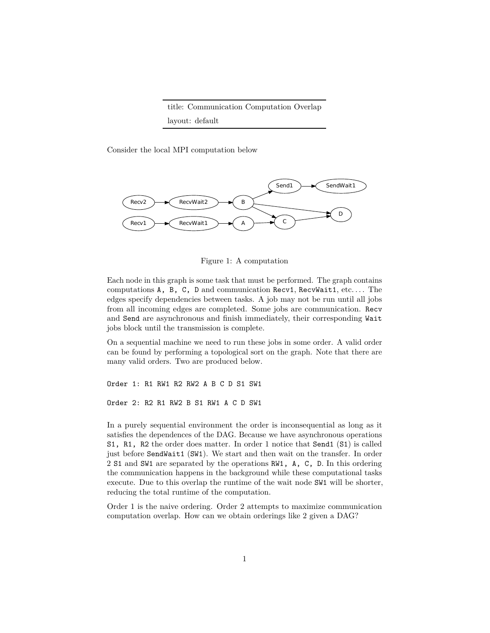title: Communication Computation Overlap layout: default

Consider the local MPI computation below



Figure 1: A computation

Each node in this graph is some task that must be performed. The graph contains computations A, B, C, D and communication Recv1, RecvWait1, etc.... The edges specify dependencies between tasks. A job may not be run until all jobs from all incoming edges are completed. Some jobs are communication. Recv and Send are asynchronous and finish immediately, their corresponding Wait jobs block until the transmission is complete.

On a sequential machine we need to run these jobs in some order. A valid order can be found by performing a topological sort on the graph. Note that there are many valid orders. Two are produced below.

Order 1: R1 RW1 R2 RW2 A B C D S1 SW1 Order 2: R2 R1 RW2 B S1 RW1 A C D SW1

In a purely sequential environment the order is inconsequential as long as it satisfies the dependences of the DAG. Because we have asynchronous operations S1, R1, R2 the order does matter. In order 1 notice that Send1 (S1) is called just before SendWait1 (SW1). We start and then wait on the transfer. In order 2 S1 and SW1 are separated by the operations RW1, A, C, D. In this ordering the communication happens in the background while these computational tasks execute. Due to this overlap the runtime of the wait node SW1 will be shorter, reducing the total runtime of the computation.

Order 1 is the naive ordering. Order 2 attempts to maximize communication computation overlap. How can we obtain orderings like 2 given a DAG?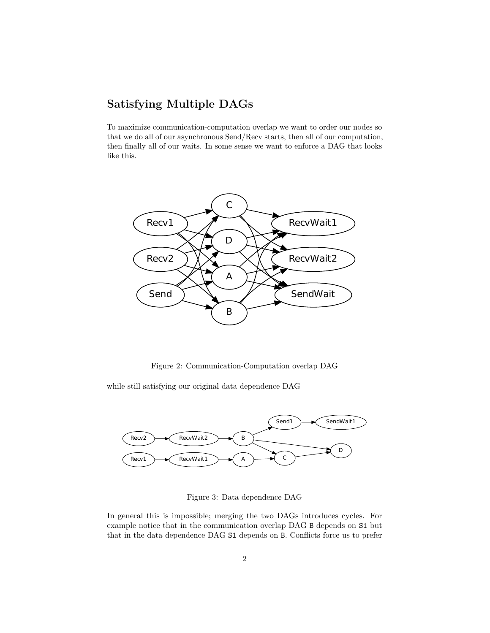## **Satisfying Multiple DAGs**

To maximize communication-computation overlap we want to order our nodes so that we do all of our asynchronous Send/Recv starts, then all of our computation, then finally all of our waits. In some sense we want to enforce a DAG that looks like this.



Figure 2: Communication-Computation overlap DAG

while still satisfying our original data dependence DAG



Figure 3: Data dependence DAG

In general this is impossible; merging the two DAGs introduces cycles. For example notice that in the communication overlap DAG B depends on S1 but that in the data dependence DAG S1 depends on B. Conflicts force us to prefer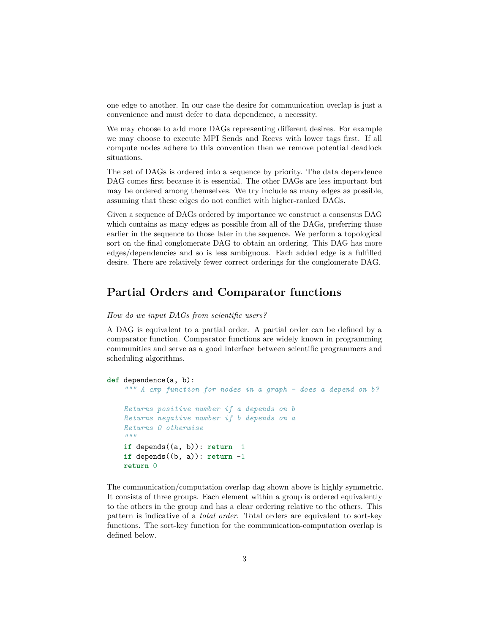one edge to another. In our case the desire for communication overlap is just a convenience and must defer to data dependence, a necessity.

We may choose to add more DAGs representing different desires. For example we may choose to execute MPI Sends and Recvs with lower tags first. If all compute nodes adhere to this convention then we remove potential deadlock situations.

The set of DAGs is ordered into a sequence by priority. The data dependence DAG comes first because it is essential. The other DAGs are less important but may be ordered among themselves. We try include as many edges as possible, assuming that these edges do not conflict with higher-ranked DAGs.

Given a sequence of DAGs ordered by importance we construct a consensus DAG which contains as many edges as possible from all of the DAGs, preferring those earlier in the sequence to those later in the sequence. We perform a topological sort on the final conglomerate DAG to obtain an ordering. This DAG has more edges/dependencies and so is less ambiguous. Each added edge is a fulfilled desire. There are relatively fewer correct orderings for the conglomerate DAG.

## **Partial Orders and Comparator functions**

## *How do we input DAGs from scientific users?*

A DAG is equivalent to a partial order. A partial order can be defined by a comparator function. Comparator functions are widely known in programming communities and serve as a good interface between scientific programmers and scheduling algorithms.

```
def dependence(a, b):
""" A cmp function for nodes in a graph - does a depend on b?
Returns positive number if a depends on b
Returns negative number if b depends on a
Returns 0 otherwise
"""
if depends((a, b)): return 1
if depends((b, a)): return -1return 0
```
The communication/computation overlap dag shown above is highly symmetric. It consists of three groups. Each element within a group is ordered equivalently to the others in the group and has a clear ordering relative to the others. This pattern is indicative of a *total order*. Total orders are equivalent to sort-key functions. The sort-key function for the communication-computation overlap is defined below.